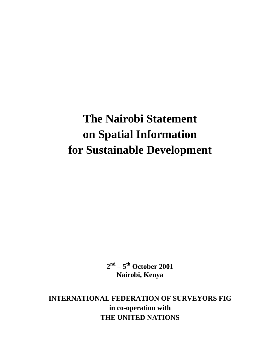# **The Nairobi Statement on Spatial Information for Sustainable Development**

**2nd – 5th October 2001 Nairobi, Kenya**

**INTERNATIONAL FEDERATION OF SURVEYORS FIG in co-operation with THE UNITED NATIONS**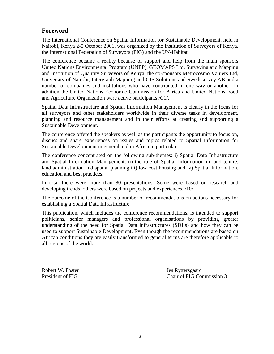## **Foreword**

The International Conference on Spatial Information for Sustainable Development, held in Nairobi, Kenya 2-5 October 2001, was organized by the Institution of Surveyors of Kenya, the International Federation of Surveyors (FIG) and the UN-Habitat.

The conference became a reality because of support and help from the main sponsors United Nations Environmental Program (UNEP), GEOMAPS Ltd. Surveying and Mapping and Institution of Quantity Surveyors of Kenya, the co-sponsors Metrocosmo Valuers Ltd, University of Nairobi, Intergraph Mapping and GIS Solutions and Swedesurvey AB and a number of companies and institutions who have contributed in one way or another. In addition the United Nations Economic Commission for Africa and United Nations Food and Agriculture Organization were active participants /C1/.

Spatial Data Infrastructure and Spatial Information Management is clearly in the focus for all surveyors and other stakeholders worldwide in their diverse tasks in development, planning and resource management and in their efforts at creating and supporting a Sustainable Development.

The conference offered the speakers as well as the participants the opportunity to focus on, discuss and share experiences on issues and topics related to Spatial Information for Sustainable Development in general and in Africa in particular.

The conference concentrated on the following sub-themes: i) Spatial Data Infrastructure and Spatial Information Management, ii) the role of Spatial Information in land tenure, land administration and spatial planning iii) low cost housing and iv) Spatial Information, education and best practices.

In total there were more than 80 presentations. Some were based on research and developing trends, others were based on projects and experiences. /10/

The outcome of the Conference is a number of recommendations on actions necessary for establishing a Spatial Data Infrastructure.

This publication, which includes the conference recommendations, is intended to support politicians, senior managers and professional organisations by providing greater understanding of the need for Spatial Data Infrastructures (SDI's) and how they can be used to support Sustainable Development. Even though the recommendations are based on African conditions they are easily transformed to general terms are therefore applicable to all regions of the world.

Robert W. Foster Jes Ryttersgaard

President of FIG Commission 3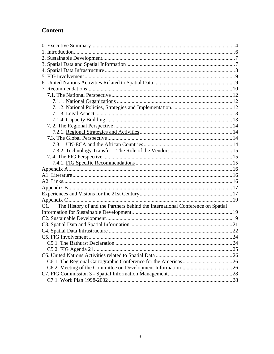# **Content**

| The History of and the Partners behind the International Conference on Spatial<br>C1. |  |
|---------------------------------------------------------------------------------------|--|
|                                                                                       |  |
|                                                                                       |  |
|                                                                                       |  |
|                                                                                       |  |
|                                                                                       |  |
|                                                                                       |  |
|                                                                                       |  |
|                                                                                       |  |
|                                                                                       |  |
|                                                                                       |  |
|                                                                                       |  |
|                                                                                       |  |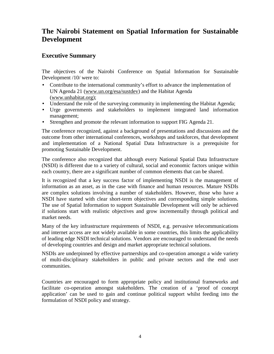## **The Nairobi Statement on Spatial Information for Sustainable Development**

## **Executive Summary**

The objectives of the Nairobi Conference on Spatial Information for Sustainable Development /10/ were to:

- Contribute to the international community's effort to advance the implementation of UN Agenda 21 (www.un.org/esa/sustdev) and the Habitat Agenda (www.unhabitat.org);
- Understand the role of the surveying community in implementing the Habitat Agenda;
- Urge governments and stakeholders to implement integrated land information management;
- Strengthen and promote the relevant information to support FIG Agenda 21.

The conference recognized, against a background of presentations and discussions and the outcome from other international conferences, workshops and taskforces, that development and implementation of a National Spatial Data Infrastructure is a prerequisite for promoting Sustainable Development.

The conference also recognized that although every National Spatial Data Infrastructure (NSDI) is different due to a variety of cultural, social and economic factors unique within each country, there are a significant number of common elements that can be shared.

It is recognized that a key success factor of implementing NSDI is the management of information as an asset, as in the case with finance and human resources. Mature NSDIs are complex solutions involving a number of stakeholders. However, those who have a NSDI have started with clear short-term objectives and corresponding simple solutions. The use of Spatial Information to support Sustainable Development will only be achieved if solutions start with realistic objectives and grow incrementally through political and market needs.

Many of the key infrastructure requirements of NSDI, e.g. pervasive telecommunications and internet access are not widely available in some countries, this limits the applicability of leading edge NSDI technical solutions. Vendors are encouraged to understand the needs of developing countries and design and market appropriate technical solutions.

NSDIs are underpinned by effective partnerships and co-operation amongst a wide variety of multi-disciplinary stakeholders in public and private sectors and the end user communities.

Countries are encouraged to form appropriate policy and institutional frameworks and facilitate co-operation amongst stakeholders. The creation of a 'proof of concept application' can be used to gain and continue political support whilst feeding into the formulation of NSDI policy and strategy.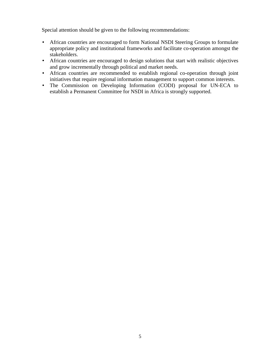Special attention should be given to the following recommendations:

- African countries are encouraged to form National NSDI Steering Groups to formulate appropriate policy and institutional frameworks and facilitate co-operation amongst the stakeholders.
- African countries are encouraged to design solutions that start with realistic objectives and grow incrementally through political and market needs.
- African countries are recommended to establish regional co-operation through joint initiatives that require regional information management to support common interests.
- The Commission on Developing Information (CODI) proposal for UN-ECA to establish a Permanent Committee for NSDI in Africa is strongly supported.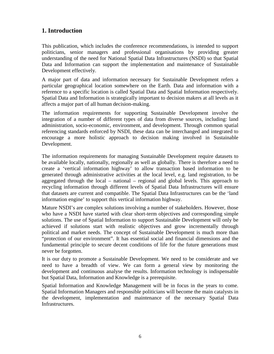## **1. Introduction**

This publication, which includes the conference recommendations, is intended to support politicians, senior managers and professional organisations by providing greater understanding of the need for National Spatial Data Infrastructures (NSDI) so that Spatial Data and Information can support the implementation and maintenance of Sustainable Development effectively.

A major part of data and information necessary for Sustainable Development refers a particular geographical location somewhere on the Earth. Data and information with a reference to a specific location is called Spatial Data and Spatial Information respectively. Spatial Data and Information is strategically important to decision makers at all levels as it affects a major part of all human decision-making.

The information requirements for supporting Sustainable Development involve the integration of a number of different types of data from diverse sources, including: land administration, socio-economic, environment, and development. Through common spatial referencing standards enforced by NSDI, these data can be interchanged and integrated to encourage a more holistic approach to decision making involved in Sustainable Development.

The information requirements for managing Sustainable Development require datasets to be available locally, nationally, regionally as well as globally. There is therefore a need to create a 'vertical information highway' to allow transaction based information to be generated through administrative activities at the local level, e.g. land registration, to be aggregated through the local – national – regional and global levels. This approach to recycling information through different levels of Spatial Data Infrastructures will ensure that datasets are current and compatible. The Spatial Data Infrastructures can be the 'land information engine' to support this vertical information highway.

Mature NSDI's are complex solutions involving a number of stakeholders. However, those who have a NSDI have started with clear short-term objectives and corresponding simple solutions. The use of Spatial Information to support Sustainable Development will only be achieved if solutions start with realistic objectives and grow incrementally through political and market needs. The concept of Sustainable Development is much more than "protection of our environment". It has essential social and financial dimensions and the fundamental principle to secure decent conditions of life for the future generations must never be forgotten.

It is our duty to promote a Sustainable Development. We need to be considerate and we need to have a breadth of view. We can form a general view by monitoring the development and continuous analyse the results. Information technology is indispensable but Spatial Data, Information and Knowledge is a prerequisite.

Spatial Information and Knowledge Management will be in focus in the years to come. Spatial Information Managers and responsible politicians will become the main catalysts in the development, implementation and maintenance of the necessary Spatial Data Infrastructures.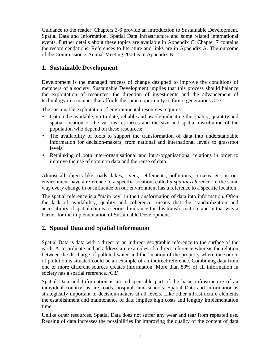Guidance to the reader: Chapters 3-6 provide an introduction to Sustainable Development, Spatial Data and Information, Spatial Data Infrastructure and some related international events. Further details about these topics are available in Appendix C. Chapter 7 contains the recommendations. References to literature and links are in Appendix A. The outcome of the Commission 3 Annual Meeting 2000 is in Appendix B.

## **1. Sustainable Development**

Development is the managed process of change designed to improve the conditions of members of a society. Sustainable Development implies that this process should balance the exploitation of resources, the direction of investments and the advancement of technology in a manner that affords the same opportunity to future generations /C2/.

The sustainable exploitation of environmental resources requires

- Data to be available, up-to-date, reliable and usable indicating the quality, quantity and spatial location of the various resources and the size and spatial distribution of the population who depend on these resources;
- The availability of tools to support the transformation of data into understandable information for decision-makers, from national and international levels to grassroot levels;
- Rethinking of both inter-organisational and intra-organisational relations in order to improve the use of common data and the reuse of data.

Almost all objects like roads, lakes, rivers, settlements, pollutions, citizens, etc, in our environment have a reference to a specific location, called *a spatial reference.* In the same way every change in or influence on our environment has a reference to a specific location.

The spatial reference is a "main key" in the transformation of data into information. Often the lack of availability, quality and coherence, means that the standardization and accessibility of spatial data is a serious hindrance for this transformation, and in that way a barrier for the implementation of Sustainable Development.

## **2. Spatial Data and Spatial Information**

Spatial Data is data with a direct or an indirect geographic reference to the surface of the earth. A co-ordinate and an address are examples of a direct reference whereas the relation between the discharge of polluted water and the location of the property where the source of pollution is situated could be an example of an indirect reference. Combining data from one or more different sources creates information. More than 80% of all information in society has a spatial reference. /C3/

Spatial Data and Information is an indispensable part of the basic infrastructure of an individual country, as are roads, hospitals and schools. Spatial Data and information is strategically important to decision-makers at all levels. Like other infrastructure elements the establishment and maintenance of data implies high costs and lengthy implementation time.

Unlike other resources, Spatial Data does not suffer any wear and tear from repeated use. Reusing of data increases the possibilities for improving the quality of the content of data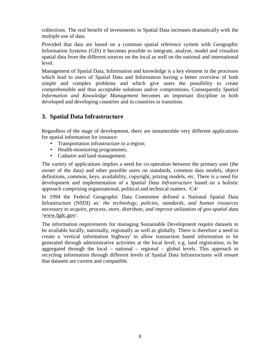collections. The real benefit of investments in Spatial Data increases dramatically with the multiple use of data.

Provided that data are based on a common spatial reference system with Geographic Information Systems (GIS) it becomes possible to integrate, analyse, model and visualize spatial data from the different sources on the local as well on the national and international level.

Management of Spatial Data, Information and knowledge is a key element in the processes which lead to users of Spatial Data and Information having a better overview of both simple and complex problems and which give users the possibility to create comprehensible and thus acceptable solutions and/or compromises**.** Consequently *Spatial Information and Knowledge Management* becomes an important discipline in both developed and developing countries and in countries in transition.

## **3. Spatial Data Infrastructure**

Regardless of the stage of development, there are innumerable very different applications for spatial information for instance:

- Transportation infrastructure in a region;
- Health-monitoring programmes;
- Cadastre and land management.

The variety of applications implies a need for co-operation between the primary user (the owner of the data) and other possible users on standards, common data models, object definitions, common, keys, availability, copyright, prizing models, etc. There is a need for development and implementation of a *Spatial Data Infrastructure* based on a holistic approach comprising organisational, political and technical matters. /C4/

In 1994 the Federal Geographic Data Committee defined a National Spatial Data Infrastructure (NSDI) as*: the technology, policies, standards, and human resources necessary to acquire, process, store, distribute, and improve utilization of geo-spatial data* /www.fgdc.gov/.

The information requirements for managing Sustainable Development require datasets to be available locally, nationally, regionally as well as globally. There is therefore a need to create a 'vertical information highway' to allow transaction based information to be generated through administrative activities at the local level, e.g. land registration, to be aggregated through the local – national – regional – global levels. This approach to recycling information through different levels of Spatial Data Infrastructures will ensure that datasets are current and compatible.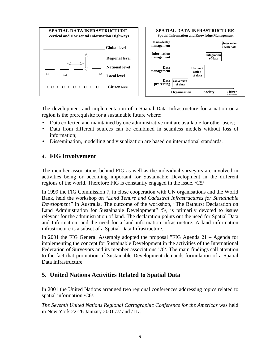

The development and implementation of a Spatial Data Infrastructure for a nation or a region is the prerequisite for a sustainable future where:

- Data collected and maintained by one administrative unit are available for other users;
- Data from different sources can be combined in seamless models without loss of information;
- Dissemination, modelling and visualization are based on international standards.

## **4. FIG Involvement**

The member associations behind FIG as well as the individual surveyors are involved in activities being or becoming important for Sustainable Development in the different regions of the world. Therefore FIG is constantly engaged in the issue. /C5/

In 1999 the FIG Commission 7, in close cooperation with UN organisations and the World Bank, held the workshop on "*Land Tenure and Cadastral Infrastructures for Sustainable Development"* in Australia. The outcome of the workshop, "The Bathurst Declaration on Land Administration for Sustainable Development" /5/, is primarily devoted to issues relevant for the administration of land. The declaration points out the need for Spatial Data and Information, and the need for a land information infrastructure. A land information infrastructure is a subset of a Spatial Data Infrastructure.

In 2001 the FIG General Assembly adopted the proposal "FIG Agenda 21 – Agenda for implementing the concept for Sustainable Development in the activities of the International Federation of Surveyors and its member associations" /6/. The main findings call attention to the fact that promotion of Sustainable Development demands formulation of a Spatial Data Infrastructure.

## **5. United Nations Activities Related to Spatial Data**

In 2001 the United Nations arranged two regional conferences addressing topics related to spatial information /C6/.

*The Seventh United Nations Regional Cartographic Conference for the Americas* was held in New York 22-26 January 2001 /7/ and /11/.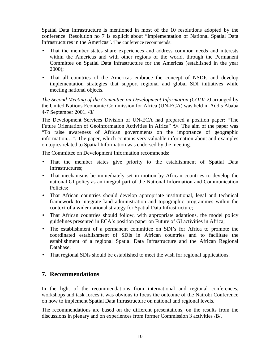Spatial Data Infrastructure is mentioned in most of the 10 resolutions adopted by the conference. Resolution no 7 is explicit about "Implementation of National Spatial Data Infrastructures in the Americas". The conference recommends:

- That the member states share experiences and address common needs and interests within the Americas and with other regions of the world, through the Permanent Committee on Spatial Data Infrastructure for the Americas (established in the year 2000);
- That all countries of the Americas embrace the concept of NSDIs and develop implementation strategies that support regional and global SDI initiatives while meeting national objects*.*

*The Second Meeting of the Committee on Development Information (CODI-2)* arranged by the United Nations Economic Commission for Africa (UN-ECA) was held in Addis Ababa 4-7 September 2001. /8/

The Development Services Division of UN-ECA had prepared a position paper: "The Future Orientation of Geoinformation Activities in Africa" /9/. The aim of the paper was "To raise awareness of African governments on the importance of geographic information*…"*. The paper, which contains very valuable information about and examples on topics related to Spatial Information was endorsed by the meeting.

The Committee on Development Information recommends:

- That the member states give priority to the establishment of Spatial Data Infrastructures;
- That mechanisms be immediately set in motion by African countries to develop the national GI policy as an integral part of the National Information and Communication Policies;
- That African countries should develop appropriate institutional, legal and technical framework to integrate land administration and topographic programmes within the context of a wider national strategy for Spatial Data Infrastructure;
- That African countries should follow, with appropriate adaptions, the model policy guidelines presented in ECA's position paper on Future of GI activities in Africa;
- The establishment of a permanent committee on SDI's for Africa to promote the coordinated establishment of SDIs in African countries and to facilitate the establishment of a regional Spatial Data Infrastructure and the African Regional Database;
- That regional SDIs should be established to meet the wish for regional applications.

## **7. Recommendations**

In the light of the recommendations from international and regional conferences, workshops and task forces it was obvious to focus the outcome of the Nairobi Conference on how to implement Spatial Data Infrastructure on national and regional levels.

The recommendations are based on the different presentations, on the results from the discussions in plenary and on experiences from former Commission 3 activities /B/.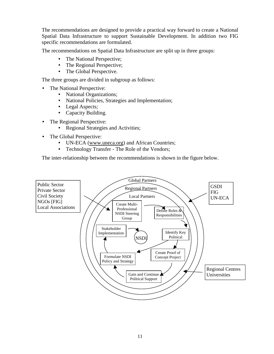The recommendations are designed to provide a practical way forward to create a National Spatial Data Infrastructure to support Sustainable Development. In addition two FIG specific recommendations are formulated.

The recommendations on Spatial Data Infrastructure are split up in three groups:

- The National Perspective;
- The Regional Perspective;
- The Global Perspective.

The three groups are divided in subgroup as follows:

- The National Perspective:
	- National Organizations;
	- National Policies, Strategies and Implementation;
	- Legal Aspects;
	- Capacity Building.
- The Regional Perspective:
	- Regional Strategies and Activities;
- The Global Perspective:
	- UN-ECA (www.uneca.org) and African Countries;
	- Technology Transfer The Role of the Vendors;

The inter-relationship between the recommendations is shown in the figure below.

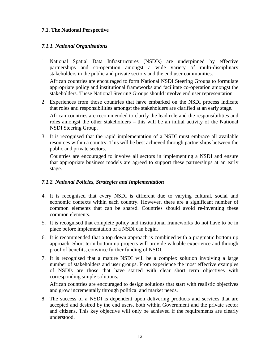## **7.1. The National Perspective**

## *7.1.1. National Organisations*

- 1. National Spatial Data Infrastructures (NSDIs) are underpinned by effective partnerships and co-operation amongst a wide variety of multi-disciplinary stakeholders in the public and private sectors and the end user communities. African countries are encouraged to form National NSDI Steering Groups to formulate appropriate policy and institutional frameworks and facilitate co-operation amongst the stakeholders. These National Steering Groups should involve end user representation.
- 2. Experiences from those countries that have embarked on the NSDI process indicate that roles and responsibilities amongst the stakeholders are clarified at an early stage. African countries are recommended to clarify the lead role and the responsibilities and roles amongst the other stakeholders – this will be an initial activity of the National NSDI Steering Group.
- 3. It is recognised that the rapid implementation of a NSDI must embrace all available resources within a country. This will be best achieved through partnerships between the public and private sectors.

Countries are encouraged to involve all sectors in implementing a NSDI and ensure that appropriate business models are agreed to support these partnerships at an early stage.

## *7.1.2. National Policies, Strategies and Implementation*

- 4. It is recognised that every NSDI is different due to varying cultural, social and economic contexts within each country. However, there are a significant number of common elements that can be shared. Countries should avoid re-inventing these common elements.
- 5. It is recognised that complete policy and institutional frameworks do not have to be in place before implementation of a NSDI can begin.
- 6. It is recommended that a top down approach is combined with a pragmatic bottom up approach. Short term bottom up projects will provide valuable experience and through proof of benefits, convince further funding of NSDI.
- 7. It is recognised that a mature NSDI will be a complex solution involving a large number of stakeholders and user groups. From experience the most effective examples of NSDIs are those that have started with clear short term objectives with corresponding simple solutions.

African countries are encouraged to design solutions that start with realistic objectives and grow incrementally through political and market needs.

8. The success of a NSDI is dependent upon delivering products and services that are accepted and desired by the end users, both within Government and the private sector and citizens. This key objective will only be achieved if the requirements are clearly understood.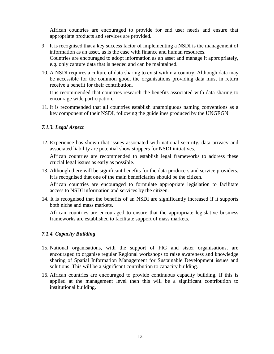African countries are encouraged to provide for end user needs and ensure that appropriate products and services are provided.

- 9. It is recognised that a key success factor of implementing a NSDI is the management of information as an asset, as is the case with finance and human resources. Countries are encouraged to adopt information as an asset and manage it appropriately, e.g. only capture data that is needed and can be maintained.
- 10. A NSDI requires a culture of data sharing to exist within a country. Although data may be accessible for the common good, the organisations providing data must in return receive a benefit for their contribution.

It is recommended that countries research the benefits associated with data sharing to encourage wide participation.

11. It is recommended that all countries establish unambiguous naming conventions as a key component of their NSDI, following the guidelines produced by the UNGEGN.

#### *7.1.3. Legal Aspect*

12. Experience has shown that issues associated with national security, data privacy and associated liability are potential show stoppers for NSDI initiatives.

African countries are recommended to establish legal frameworks to address these crucial legal issues as early as possible.

13. Although there will be significant benefits for the data producers and service providers, it is recognised that one of the main beneficiaries should be the citizen.

African countries are encouraged to formulate appropriate legislation to facilitate access to NSDI information and services by the citizen.

14. It is recognised that the benefits of an NSDI are significantly increased if it supports both niche and mass markets.

African countries are encouraged to ensure that the appropriate legislative business frameworks are established to facilitate support of mass markets.

#### *7.1.4. Capacity Building*

- 15. National organisations, with the support of FIG and sister organisations, are encouraged to organise regular Regional workshops to raise awareness and knowledge sharing of Spatial Information Management for Sustainable Development issues and solutions. This will be a significant contribution to capacity building.
- 16. African countries are encouraged to provide continuous capacity building. If this is applied at the management level then this will be a significant contribution to institutional building.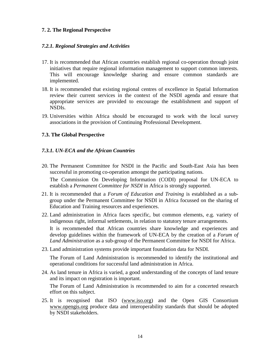#### **7. 2. The Regional Perspective**

#### *7.2.1. Regional Strategies and Activities*

- 17. It is recommended that African countries establish regional co-operation through joint initiatives that require regional information management to support common interests. This will encourage knowledge sharing and ensure common standards are implemented.
- 18. It is recommended that existing regional centres of excellence in Spatial Information review their current services in the context of the NSDI agenda and ensure that appropriate services are provided to encourage the establishment and support of NSDIs.
- 19. Universities within Africa should be encouraged to work with the local survey associations in the provision of Continuing Professional Development.

#### **7.3. The Global Perspective**

#### *7.3.1. UN-ECA and the African Countries*

20. The Permanent Committee for NSDI in the Pacific and South-East Asia has been successful in promoting co-operation amongst the participating nations. The Commission On Developing Information (CODI) proposal for UN-ECA to

establish a *Permanent Committee for NSDI* in Africa is strongly supported.

21. It is recommended that a *Forum of Education and Training* is established as a subgroup under the Permanent Committee for NSDI in Africa focussed on the sharing of Education and Training resources and experiences.

22. Land administration in Africa faces specific, but common elements, e.g. variety of indigenous right, informal settlements, in relation to statutory tenure arrangements. It is recommended that African countries share knowledge and experiences and develop guidelines within the framework of UN-ECA by the creation of a *Forum of Land Administration* as a sub-group of the Permanent Committee for NSDI for Africa.

23. Land administration systems provide important foundation data for NSDI.

The Forum of Land Administration is recommended to identify the institutional and operational conditions for successful land administration in Africa.

24. As land tenure in Africa is varied, a good understanding of the concepts of land tenure and its impact on registration is important.

The Forum of Land Administration is recommended to aim for a concerted research effort on this subject.

25. It is recognised that ISO (www.iso.org) and the Open GIS Consortium www.opengis.org produce data and interoperability standards that should be adopted by NSDI stakeholders.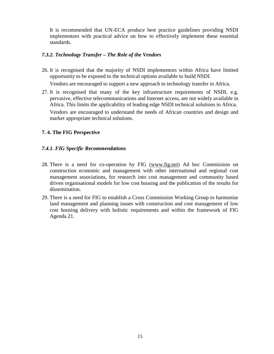It is recommended that UN-ECA produce best practice guidelines providing NSDI implementors with practical advice on how to effectively implement these essential standards.

#### *7.3.2. Technology Transfer – The Role of the Vendors*

26. It is recognised that the majority of NSDI implementors within Africa have limited opportunity to be exposed to the technical options available to build NSDI.

Vendors are encouraged to support a new approach to technology transfer in Africa.

27. It is recognised that many of the key infrastructure requirements of NSDI, e.g. pervasive, effective telecommunications and Internet access, are not widely available in Africa. This limits the applicability of leading edge NSDI technical solutions in Africa. Vendors are encouraged to understand the needs of African countries and design and market appropriate technical solutions.

## **7. 4. The FIG Perspective**

## *7.4.1. FIG Specific Recommendations*

- 28. There is a need for co-operation by FIG (www.fig.net) Ad hoc Commission on construction economic and management with other international and regional cost management associations, for research into cost management and community based driven organisational models for low cost housing and the publication of the results for dissemination.
- 29. There is a need for FIG to establish a Cross Commission Working Group to harmonise land management and planning issues with construction and cost management of low cost housing delivery with holistic requirements and within the framework of FIG Agenda 21.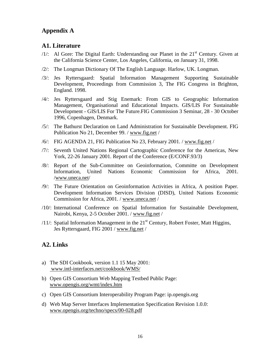## **Appendix A**

## **A1. Literature**

- $/1$ : Al Gore: The Digital Earth: Understanding our Planet in the  $21<sup>st</sup>$  Century. Given at the California Science Center, Los Angeles, California, on January 31, 1998.
- /2/: The Longman Dictionary Of The English Language. Harlow, UK. Longman.
- /3/: Jes Ryttersgaard: Spatial Information Management Supporting Sustainable Development, Proceedings from Commission 3, The FIG Congress in Brighton, England. 1998.
- /4/: Jes Ryttersgaard and Stig Enemark: From GIS to Geographic Information Management, Organisational and Educational Impacts. GIS/LIS For Sustainable Development - GIS/LIS For The Future.FIG Commission 3 Seminar, 28 - 30 October 1996, Copenhagen, Denmark.
- /5/: The Bathurst Declaration on Land Administration for Sustainable Development. FIG Publication No 21, December 99. / www.fig.net /
- /6/: FIG AGENDA 21, FIG Publication No 23, February 2001. / www.fig.net /
- /7/: Seventh United Nations Regional Cartographic Conference for the Americas, New York, 22-26 January 2001. Report of the Conference (E/CONF.93/3)
- /8/: Report of the Sub-Committee on Geoinformation, Committe on Development Information, United Nations Economic Commission for Africa, 2001. /www.uneca.net/
- /9/: The Future Orientation on Geoinformation Activities in Africa, A position Paper. Development Information Services Division (DISD), United Nations Economic Commission for Africa, 2001. / www.uneca.net /
- /10/: International Conference on Spatial Information for Sustainable Development, Nairobi, Kenya, 2-5 October 2001. / www.fig.net /
- /11/: Spatial Information Management in the  $21<sup>st</sup>$  Century, Robert Foster, Matt Higgins, Jes Ryttersgaard, FIG 2001 / www.fig.net /

## **A2. Links**

- a) The SDI Cookbook, version 1.1 15 May 2001: www.intl-interfaces.net/cookbook/WMS/
- b) Open GIS Consortium Web Mapping Testbed Public Page: www.opengis.org/wmt/index.htm
- c) Open GIS Consortium Interoperability Program Page: ip.opengis.org
- d) Web Map Server Interfaces Implementation Specification Revision 1.0.0: www.opengis.org/techno/specs/00-028.pdf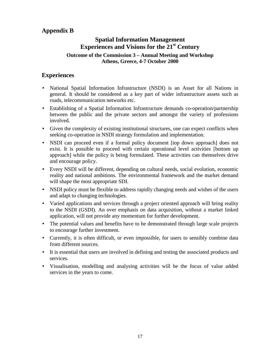## **Appendix B**

## **Spatial Information Management Experiences and Visions for the 21st Century**

## **Outcome of the Commission 3 – Annual Meeting and Workshop Athens, Greece, 4-7 October 2000**

## **Experiences**

- National Spatial Information Infrastructure (NSDI) is an Asset for all Nations in general. It should be considered as a key part of wider infrastructure assets such as roads, telecommunication networks etc.
- Establishing of a Spatial Information Infrastructure demands co-operation/partnership between the public and the private sectors and amongst the variety of professions involved.
- Given the complexity of existing institutional structures, one can expect conflicts when seeking co-operation in NSDI strategy formulation and implementation.
- NSDI can proceed even if a formal policy document [top down approach] does not exist. It is possible to proceed with certain operational level activities [bottom up approach] while the policy is being formulated. These activities can themselves drive and encourage policy.
- Every NSDI will be different, depending on cultural needs, social evolution, economic reality and national ambitions. The environmental framework and the market demand will shape the most appropriate SDI.
- NSDI policy must be flexible to address rapidly changing needs and wishes of the users and adapt to changing technologies.
- Varied applications and services through a project oriented approach will bring reality to the NSDI (GSDI). An over emphasis on data acquisition, without a market linked application, will not provide any momentum for further development.
- The potential values and benefits have to be demonstrated through large scale projects to encourage further investment.
- Currently, it is often difficult, or even impossible, for users to sensibly combine data from different sources.
- It is essential that users are involved in defining and testing the associated products and services.
- Visualisation, modelling and analysing activities will be the focus of value added services in the years to come.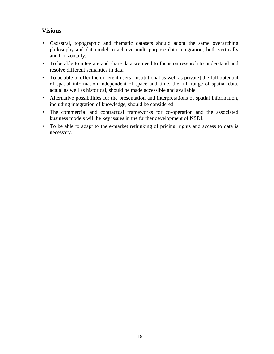## **Visions**

- Cadastral, topographic and thematic datasets should adopt the same overarching philosophy and datamodel to achieve multi-purpose data integration, both vertically and horizontally.
- To be able to integrate and share data we need to focus on research to understand and resolve different semantics in data.
- To be able to offer the different users [institutional as well as private] the full potential of spatial information independent of space and time, the full range of spatial data, actual as well as historical, should be made accessible and available
- Alternative possibilities for the presentation and interpretations of spatial information, including integration of knowledge, should be considered.
- The commercial and contractual frameworks for co-operation and the associated business models will be key issues in the further development of NSDI.
- To be able to adapt to the e-market rethinking of pricing, rights and access to data is necessary.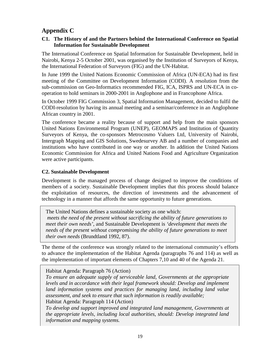## **Appendix C**

#### **C1. The History of and the Partners behind the International Conference on Spatial Information for Sustainable Development**

The International Conference on Spatial Information for Sustainable Development, held in Nairobi, Kenya 2-5 October 2001, was organised by the Institution of Surveyors of Kenya, the International Federation of Surveyors (FIG) and the UN-Habitat.

In June 1999 the United Nations Economic Commission of Africa (UN-ECA) had its first meeting of the Committee on Development Information (CODI). A resolution from the sub-commission on Geo-Informatics recommended FIG, ICA, ISPRS and UN-ECA in cooperation to hold seminars in 2000-2001 in Anglophone and in Francophone Africa.

In October 1999 FIG Commission 3, Spatial Information Management, decided to fulfil the CODI-resolution by having its annual meeting and a seminar/conference in an Anglophone African country in 2001.

The conference became a reality because of support and help from the main sponsors United Nations Environmental Program (UNEP), GEOMAPS and Institution of Quantity Surveyors of Kenya, the co-sponsors Metrocosmo Valuers Ltd, University of Nairobi, Intergraph Mapping and GIS Solutions, Swedesurvey AB and a number of companies and institutions who have contributed in one way or another. In addition the United Nations Economic Commission for Africa and United Nations Food and Agriculture Organization were active participants.

## **C2. Sustainable Development**

Development is the managed process of change designed to improve the conditions of members of a society. Sustainable Development implies that this process should balance the exploitation of resources, the direction of investments and the advancement of technology in a manner that affords the same opportunity to future generations.

The United Nations defines a sustainable society as one which: *meets the need of the present without sacrificing the ability of future generations to meet their own needs'*, and Sustainable Development is *'development that meets the needs of the present without compromising the ability of future generations to meet their own needs* (Brundtland 1992, 87).

The theme of the conference was strongly related to the international community's efforts to advance the implementation of the Habitat Agenda (paragraphs 76 and 114) as well as the implementation of important elements of Chapters 7,10 and 40 of the Agenda 21.

Habitat Agenda: Paragraph 76 (Action)

*To ensure an adequate supply of serviceable land, Governments at the appropriate levels and in accordance with their legal framework should: Develop and implement land information systems and practices for managing land, including land value assessment, and seek to ensure that such information is readily available;* Habitat Agenda: Paragraph 114 (Action)

*To develop and support improved and integrated land management, Governments at the appropriate levels, including local authorities, should: Develop integrated land information and mapping systems.*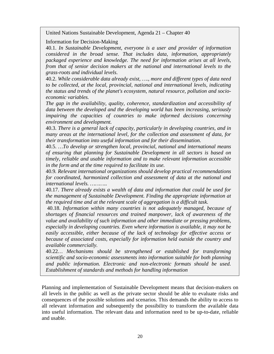United Nations Sustainable Development, Agenda 21 – Chapter 40

Information for Decision-Making

40.1. *In Sustainable Development, everyone is a user and provider of information considered in the broad sense. That includes data, information, appropriately packaged experience and knowledge. The need for information arises at all levels, from that of senior decision makers at the national and international levels to the grass-roots and individual levels*.

40.2. *While considerable data already exist, …., more and different types of data need to be collected, at the local, provincial, national and international levels, indicating the status and trends of the planet's ecosystem, natural resource, pollution and socioeconomic variables.*

*The gap in the availability, quality, coherence, standardization and accessibility of data between the developed and the developing world has been increasing, seriously impairing the capacities of countries to make informed decisions concerning environment and development.*

40.3. *There is a general lack of capacity, particularly in developing countries, and in many areas at the international level, for the collection and assessment of data, for their transformation into useful information and for their dissemination.*

40.5. *…To develop or strengthen local, provincial, national and international means of ensuring that planning for Sustainable Development in all sectors is based on timely, reliable and usable information and to make relevant information accessible in the form and at the time required to facilitate its use.*

40.9*. Relevant international organizations should develop practical recommendations for coordinated, harmonized collection and assessment of data at the national and international levels. ………..*

40.17. *There already exists a wealth of data and information that could be used for the management of Sustainable Development. Finding the appropriate information at the required time and at the relevant scale of aggregation is a difficult task.*

 40.18. *Information within many countries is not adequately managed, because of shortages of financial resources and trained manpower, lack of awareness of the value and availability of such information and other immediate or pressing problems, especially in developing countries. Even where information is available, it may not be easily accessible, either because of the lack of technology for effective access or because of associated costs, especially for information held outside the country and available commercially.*

40.22*… Mechanisms should be strengthened or established for transforming scientific and socio-economic assessments into information suitable for both planning and public information. Electronic and non-electronic formats should be used. Establishment of standards and methods for handling information*

Planning and implementation of Sustainable Development means that decision-makers on all levels in the public as well as the private sector should be able to evaluate risks and consequences of the possible solutions and scenarios. This demands the ability to access to all relevant information and subsequently the possibility to transform the available data into useful information. The relevant data and information need to be up-to-date, reliable and usable.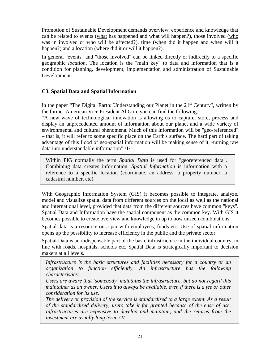Promotion of Sustainable Development demands overview, experience and knowledge that can be related to events (what has happened and what will happen?), those involved (who was in involved or who will be affected?), time (when did it happen and when will it happen?) and a location (where did it or will it happen?).

In general "events" and "those involved" can be linked directly or indirectly to a specific geographic *location*. The location is the "main key" to data and information that is a condition for planning, development, implementation and administration of Sustainable Development.

## **C3. Spatial Data and Spatial Information**

In the paper "The Digital Earth: Understanding our Planet in the  $21<sup>st</sup>$  Century", written by the former American Vice President Al Gore you can find the following:

"A new wave of technological innovation is allowing us to capture, store, process and display an unprecedented amount of information about our planet and a wide variety of environmental and cultural phenomena. Much of this information will be "geo-referenced" – that is, it will refer to some specific place on the Earth's surface. The hard part of taking advantage of this flood of geo-spatial information will be making sense of it, -turning raw data into understandable information" /1/.

Within FIG normally the term *Spatial Data* is used for "georeferenced data". Combining data creates information. *Spatial Information* is information with a reference to a specific location (coordinate, an address, a property number, a cadastral number, etc)

With Geographic Information System (GIS) it becomes possible to integrate, analyze, model and visualize spatial data from different sources on the local as well as the national and international level, provided that data from the different sources have common "keys". Spatial Data and Information have the spatial component as the common key. With GIS it becomes possible to create overview and knowledge in up to now unseen combinations.

Spatial data is a resource on a par with employees, funds etc. Use of spatial information opens up the possibility to increase efficiency in the public and the private sector.

Spatial Data is an indispensable part of the basic infrastructure in the individual country, in line with roads, hospitals, schools etc. Spatial Data is strategically important to decision makers at all levels.

*Infrastructure is the basic structures and facilities necessary for a country or an organization to function efficiently. An infrastructure has the following characteristics:*

*Users are aware that 'somebody' maintains the infrastructure, but do not regard this maintainer as an owner. Users it to always be available, even if there is a fee or other consideration for its use.*

*The delivery or provision of the service is standardised to a large extent. As a result of the standardized delivery, users take it for granted because of the ease of use. Infrastructures are expensive to develop and maintain, and the returns from the investment are usually long term. /2/*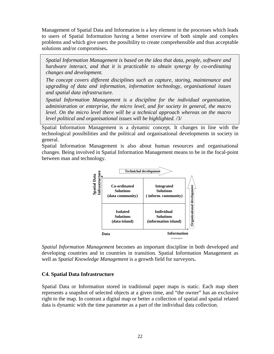Management of Spatial Data and Information is a key element in the processes which leads to users of Spatial Information having a better overview of both simple and complex problems and which give users the possibility to create comprehensible and thus acceptable solutions and/or compromises**.**

*Spatial Information Management is based on the idea that data, people, software and hardware interact, and that it is practicable to obtain synergy by co-ordinating changes and development.*

*The concept covers different disciplines such as capture, storing, maintenance and upgrading of data and information, information technology, organisational issues and spatial data infrastructure.*

*Spatial Information Management is a discipline for the individual organisation, administration or enterprise, the micro level, and for society in general, the macro level. On the micro level there will be a technical approach whereas on the macro level political and organisational issues will be highlighted.* /3/

Spatial Information Management is a dynamic concept. It changes in line with the technological possibilities and the political and organisational developments in society in general.

Spatial Information Management is also about human resources and organisational changes. Being involved in Spatial Information Management means to be in the focal-point between man and technology.



*Spatial Information Management* becomes an important discipline in both developed and developing countries and in countries in transition. Spatial Information Management as well as *Spatial Knowledge Management* is a growth field for surveyors**.**

#### **C4. Spatial Data Infrastructure**

Spatial Data or Information stored in traditional paper maps is static. Each map sheet represents a snapshot of selected objects at a given time, and "the owner" has an exclusive right to the map. In contrast a digital map or better a collection of spatial and spatial related data is dynamic with the time parameter as a part of the individual data collection.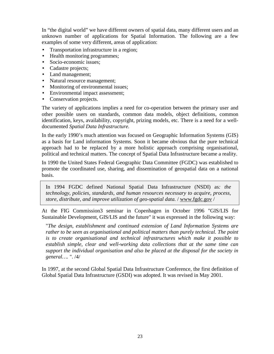In "the digital world" we have different owners of spatial data, many different users and an unknown number of applications for Spatial Information. The following are a few examples of some very different, areas of application:

- Transportation infrastructure in a region;
- Health monitoring programmes;
- Socio-economic issues;
- Cadastre projects;
- Land management;
- Natural resource management;
- Monitoring of environmental issues;
- Environmental impact assessment;
- Conservation projects.

The variety of applications implies a need for co-operation between the primary user and other possible users on standards, common data models, object definitions, common identification, keys, availability, copyright, prizing models, etc. There is a need for a welldocumented *Spatial Data Infrastructure.*

In the early 1990's much attention was focused on Geographic Information Systems (GIS) as a basis for Land information Systems. Soon it became obvious that the pure technical approach had to be replaced by a more holistic approach comprising organisational, political and technical matters. The concept of Spatial Data Infrastructure became a reality.

In 1990 the United States Federal Geographic Data Committee (FGDC) was established to promote the coordinated use, sharing, and dissemination of geospatial data on a national basis.

In 1994 FGDC defined National Spatial Data Infrastructure (NSDI) as*: the technology, policies, standards, and human resources necessary to acquire, process, store, distribute, and improve utilization of geo-spatial data.* / www.fgdc.gov /

At the FIG Commission3 seminar in Copenhagen in October 1996 "GIS/LIS for Sustainable Development, GIS/LIS and the future" it was expressed in the following way:

"*The design, establishment and continued extension of Land Information Systems are rather to be seen as organisational and political matters than purely technical. The point is to create organisational and technical infrastructures which make it possible to establish simple, clear and well-working data collections that at the same time can support the individual organisation and also be placed at the disposal for the society in general….* ". /4/

In 1997, at the second Global Spatial Data Infrastructure Conference, the first definition of Global Spatial Data Infrastructure (GSDI) was adopted. It was revised in May 2001.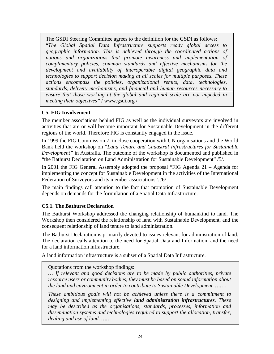The GSDI Steering Committee agrees to the definition for the GSDI as follows:

"*The Global Spatial Data Infrastructure supports ready global access to geographic information. This is achieved through the coordinated actions of nations and organizations that promote awareness and implementation of complimentary policies, common standards and effective mechanisms for the development and availability of interoperable digital geographic data and technologies to support decision making at all scales for multiple purposes. These actions encompass the policies, organizational remits, data, technologies, standards, delivery mechanisms, and financial and human resources necessary to ensure that those working at the global and regional scale are not impeded in meeting their objectives"* / www.gsdi.org /

## **C5. FIG Involvement**

The member associations behind FIG as well as the individual surveyors are involved in activities that are or will become important for Sustainable Development in the different regions of the world. Therefore FIG is constantly engaged in the issue.

In 1999 the FIG Commission 7, in close cooperation with UN organisations and the World Bank held the workshop on "*Land Tenure and Cadastral Infrastructures for Sustainable Development"* in Australia. The outcome of the workshop is documented and published in "the Bathurst Declaration on Land Administration for Sustainable Development" /5/.

In 2001 the FIG General Assembly adopted the proposal "FIG Agenda 21 – Agenda for implementing the concept for Sustainable Development in the activities of the International Federation of Surveyors and its member associations". /6/

The main findings call attention to the fact that promotion of Sustainable Development depends on demands for the formulation of a Spatial Data Infrastructure.

## **C5.1. The Bathurst Declaration**

The Bathurst Workshop addressed the changing relationship of humankind to land. The Workshop then considered the relationship of land with Sustainable Development, and the consequent relationship of land tenure to land administration.

The Bathurst Declaration is primarily devoted to issues relevant for administration of land. The declaration calls attention to the need for Spatial Data and Information, and the need for a land information infrastructure.

A land information infrastructure is a subset of a Spatial Data Infrastructure.

Quotations from the workshop findings:

*… If relevant and good decisions are to be made by public authorities, private resource users or community bodies, they must be based on sound information about the land and environment in order to contribute to Sustainable Development. …….*

*These ambitious goals will not be achieved unless there is a commitment to designing and implementing effective land administration infrastructures. These may be described as the organisations, standards, processes, information and dissemination systems and technologies required to support the allocation, transfer, dealing and use of land. ……*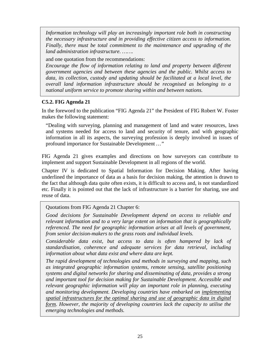*Information technology will play an increasingly important role both in constructing the necessary infrastructure and in providing effective citizen access to information. Finally, there must be total commitment to the maintenance and upgrading of the land administration infrastructure. …….*

and one quotation from the recommendations:

*Encourage the flow of information relating to land and property between different government agencies and between these agencies and the public. Whilst access to data, its collection, custody and updating should be facilitated at a local level, the overall land information infrastructure should be recognised as belonging to a national uniform service to promote sharing within and between nations.*

## **C5.2. FIG Agenda 21**

In the foreword to the publication "FIG Agenda 21" the President of FIG Robert W. Foster makes the following statement:

"Dealing with surveying, planning and management of land and water resources, laws and systems needed for access to land and security of tenure, and with geographic information in all its aspects, the surveying profession is deeply involved in issues of profound importance for Sustainable Development *…"*

FIG Agenda 21 gives examples and directions on how surveyors can contribute to implement and support Sustainable Development in all regions of the world.

Chapter IV is dedicated to Spatial Information for Decision Making. After having underlined the importance of data as a basis for decision making, the attention is drawn to the fact that although data quite often exists, it is difficult to access and, is not standardized etc. Finally it is pointed out that the lack of infrastructure is a barrier for sharing, use and reuse of data.

Quotations from FIG Agenda 21 Chapter 6:

*Good decisions for Sustainable Development depend on access to reliable and relevant information and to a very large extent on information that is geographically referenced. The need for geographic information arises at all levels of government, from senior decision-makers to the grass roots and individual levels.*

*Considerable data exist, but access to data is often hampered by lack of standardisation, coherence and adequate services for data retrieval, including information about what data exist and where data are kept.*

*The rapid development of technologies and methods in surveying and mapping, such as integrated geographic information systems, remote sensing, satellite positioning systems and digital networks for sharing and disseminating of data, provides a strong and important tool for decision making for Sustainable Development. Accessible and relevant geographic information will play an important role in planning, executing and monitoring development. Developing countries have embarked on implementing spatial infrastructures for the optimal sharing and use of geographic data in digital form. However, the majority of developing countries lack the capacity to utilise the emerging technologies and methods.*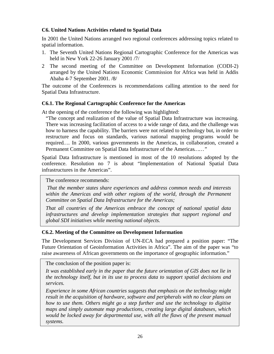## **C6. United Nations Activities related to Spatial Data**

In 2001 the United Nations arranged two regional conferences addressing topics related to spatial information.

- 1. The Seventh United Nations Regional Cartographic Conference for the Americas was held in New York 22-26 January 2001 /7/
- 2 The second meeting of the Committee on Development Information (CODI-2) arranged by the United Nations Economic Commission for Africa was held in Addis Ababa 4-7 September 2001. /8/

The outcome of the Conferences is recommendations calling attention to the need for Spatial Data Infrastructure.

## **C6.1. The Regional Cartographic Conference for the Americas**

At the opening of the conference the following was highlighted:

"The concept and realization of the value of Spatial Data Infrastructure was increasing. There was increasing facilitation of access to a wide range of data, and the challenge was how to harness the capability. The barriers were not related to technology but, in order to restructure and focus on standards, various national mapping programs would be required*…*. In 2000, various governments in the Americas, in collaboration, created a Permanent Committee on Spatial Data Infrastructure of the Americas*……"*

Spatial Data Infrastructure is mentioned in most of the 10 resolutions adopted by the conference. Resolution no 7 is about "Implementation of National Spatial Data infrastructures in the Americas".

The conference recommends:

*That the member states share experiences and address common needs and interests within the Americas and with other regions of the world, through the Permanent Committee on Spatial Data Infrastructure for the Americas;*

*That all countries of the Americas embrace the concept of national spatial data infrastructures and develop implementation strategies that support regional and global SDI initiatives while meeting national objects.*

## **C6.2. Meeting of the Committee on Development Information**

The Development Services Division of UN-ECA had prepared a position paper: "The Future Orientation of Geoinformation Activities in Africa". The aim of the paper was "to raise awareness of African governments on the importance of geographic information."

The conclusion of the position paper is:

*It was established early in the paper that the future orientation of GIS does not lie in the technology itself, but in its use to process data to support spatial decisions and services.*

*Experience in some African countries suggests that emphasis on the technology might result in the acquisition of hardware, software and peripherals with no clear plans on how to use them. Others might go a step further and use the technology to digitise maps and simply automate map productions, creating large digital databases, which would be locked away for departmental use, with all the flaws of the present manual systems.*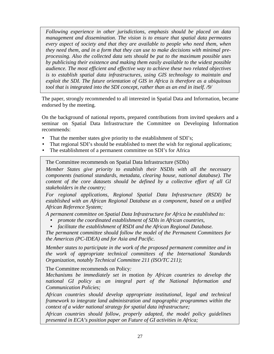*Following experience in other jurisdictions, emphasis should be placed on data management and dissemination. The vision is to ensure that spatial data permeates every aspect of society and that they are available to people who need them, when they need them, and in a form that they can use to make decisions with minimal preprocessing. Also the collected data sets should be put to the maximum possible uses by publicising their existence and making them easily available to the widest possible audience. The most efficient and effective way to achieve these two related objectives is to establish spatial data infrastructures, using GIS technology to maintain and exploit the SDI. The future orientation of GIS in Africa is therefore as a ubiquitous tool that is integrated into the SDI concept, rather than as an end in itself. /9/*

The paper, strongly recommended to all interested in Spatial Data and Information, became endorsed by the meeting.

On the background of national reports, prepared contributions from invited speakers and a seminar on Spatial Data Infrastructure the Committee on Developing Information recommends:

- That the member states give priority to the establishment of SDI's;
- That regional SDI's should be established to meet the wish for regional applications;
- The establishment of a permanent committee on SDI's for Africa

The Committee recommends on Spatial Data Infrastructure (SDIs)

*Member States give priority to establish their NSDIs with all the necessary components (national standards, metadata, clearing house, national database). The content of the core datasets should be defined by a collective effort of all GI stakeholders in the country;*

*For regional applications, Regional Spatial Data Infrastructure (RSDI) be established with an African Regional Database as a component, based on a unified African Reference System;*

*A permanent committee on Spatial Data Infrastructure for Africa be established to:*

- *promote the coordinated establishment of SDIs in African countries,*
- *facilitate the establishment of RSDI and the African Regional Database.*

*The permanent committee should follow the model of the Permanent Committees for the Americas (PC-IDEA) and for Asia and Pacific.*

*Member states to participate in the work of the proposed permanent committee and in the work of appropriate technical committees of the International Standards Organization, notably Technical Committee 211 (ISO/TC 211);*

The Committee recommends on Policy*:*

*Mechanisms be immediately set in* motion *by African countries to develop the national GI policy as an integral part of the National Information and Communication Policies;*

*African countries should develop appropriate institutional, legal and technical framework to integrate land administration and topographic programmes within the context of a wider national strategy for spatial data infrastructure;*

*African countries should follow, properly adapted, the model policy guidelines presented in ECA's position paper on Future of GI activities in Africa;*